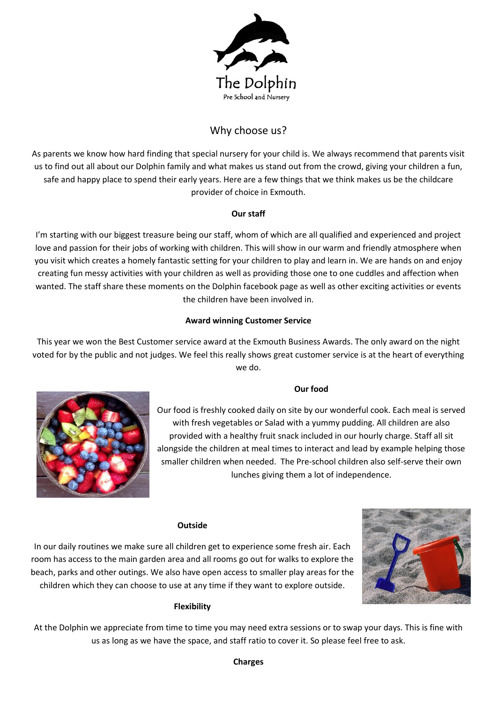

# Why choose us?

As parents we know how hard finding that special nursery for your child is. We always recommend that parents visit us to find out all about our Dolphin family and what makes us stand out from the crowd, giving your children a fun, safe and happy place to spend their early years. Here are a few things that we think makes us be the childcare provider of choice in Exmouth.

## **Our staff**

I'm starting with our biggest treasure being our staff, whom of which are all qualified and experienced and project love and passion for their jobs of working with children. This will show in our warm and friendly atmosphere when you visit which creates a homely fantastic setting for your children to play and learn in. We are hands on and enjoy creating fun messy activities with your children as well as providing those one to one cuddles and affection when wanted. The staff share these moments on the Dolphin facebook page as well as other exciting activities or events the children have been involved in.

## **Award winning Customer Service**

This year we won the Best Customer service award at the Exmouth Business Awards. The only award on the night voted for by the public and not judges. We feel this really shows great customer service is at the heart of everything we do.

## **Our food**



Our food is freshly cooked daily on site by our wonderful cook. Each meal is served with fresh vegetables or Salad with a yummy pudding. All children are also provided with a healthy fruit snack included in our hourly charge. Staff all sit alongside the children at meal times to interact and lead by example helping those smaller children when needed. The Pre-school children also self-serve their own lunches giving them a lot of independence.

## **Outside**

In our daily routines we make sure all children get to experience some fresh air. Each room has access to the main garden area and all rooms go out for walks to explore the beach, parks and other outings. We also have open access to smaller play areas for the children which they can choose to use at any time if they want to explore outside.



## **Flexibility**

At the Dolphin we appreciate from time to time you may need extra sessions or to swap your days. This is fine with us as long as we have the space, and staff ratio to cover it. So please feel free to ask.

## **Charges**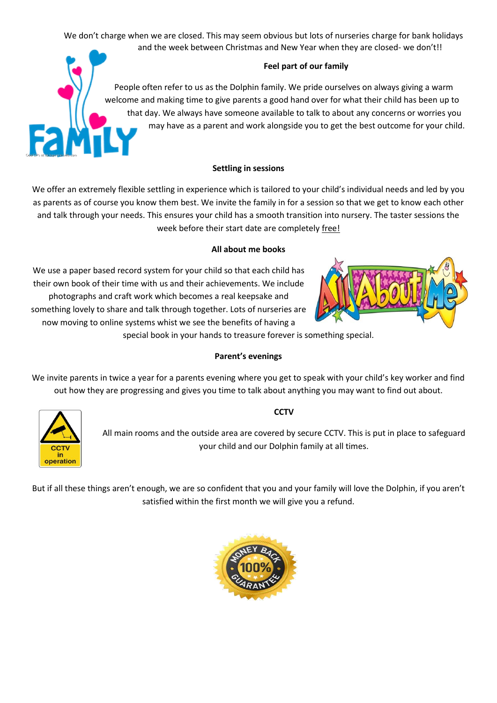We don't charge when we are closed. This may seem obvious but lots of nurseries charge for bank holidays and the week between Christmas and New Year when they are closed- we don't!!

## **Feel part of our family**

People often refer to us as the Dolphin family. We pride ourselves on always giving a warm welcome and making time to give parents a good hand over for what their child has been up to that day. We always have someone available to talk to about any concerns or worries you may have as a parent and work alongside you to get the best outcome for your child.

## **Settling in sessions**

We offer an extremely flexible settling in experience which is tailored to your child's individual needs and led by you as parents as of course you know them best. We invite the family in for a session so that we get to know each other and talk through your needs. This ensures your child has a smooth transition into nursery. The taster sessions the week before their start date are completely free!

## **All about me books**

We use a paper based record system for your child so that each child has their own book of their time with us and their achievements. We include photographs and craft work which becomes a real keepsake and something lovely to share and talk through together. Lots of nurseries are now moving to online systems whist we see the benefits of having a

special book in your hands to treasure forever is something special.

## **Parent's evenings**

We invite parents in twice a year for a parents evening where you get to speak with your child's key worker and find out how they are progressing and gives you time to talk about anything you may want to find out about.



## **CCTV**

All main rooms and the outside area are covered by secure CCTV. This is put in place to safeguard your child and our Dolphin family at all times.

But if all these things aren't enough, we are so confident that you and your family will love the Dolphin, if you aren't satisfied within the first month we will give you a refund.